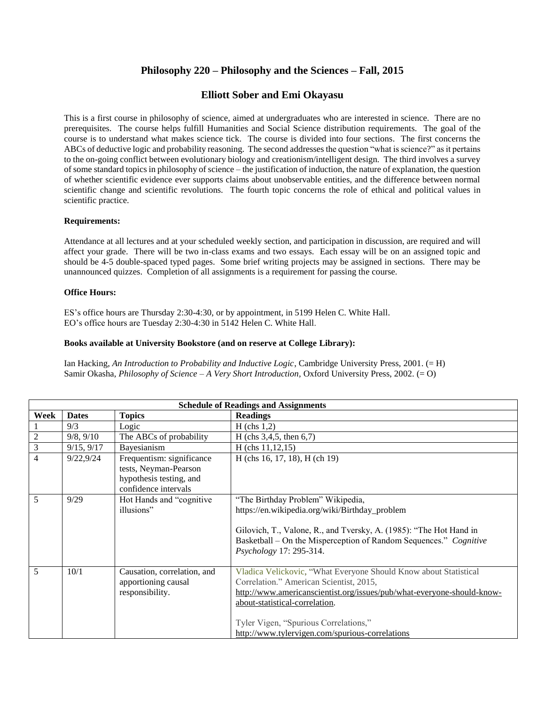# **Philosophy 220 – Philosophy and the Sciences – Fall, 2015**

## **Elliott Sober and Emi Okayasu**

This is a first course in philosophy of science, aimed at undergraduates who are interested in science. There are no prerequisites. The course helps fulfill Humanities and Social Science distribution requirements. The goal of the course is to understand what makes science tick. The course is divided into four sections. The first concerns the ABCs of deductive logic and probability reasoning. The second addresses the question "what is science?" as it pertains to the on-going conflict between evolutionary biology and creationism/intelligent design. The third involves a survey of some standard topics in philosophy of science – the justification of induction, the nature of explanation, the question of whether scientific evidence ever supports claims about unobservable entities, and the difference between normal scientific change and scientific revolutions. The fourth topic concerns the role of ethical and political values in scientific practice.

### **Requirements:**

Attendance at all lectures and at your scheduled weekly section, and participation in discussion, are required and will affect your grade. There will be two in-class exams and two essays. Each essay will be on an assigned topic and should be 4-5 double-spaced typed pages. Some brief writing projects may be assigned in sections. There may be unannounced quizzes. Completion of all assignments is a requirement for passing the course.

#### **Office Hours:**

ES's office hours are Thursday 2:30-4:30, or by appointment, in 5199 Helen C. White Hall. EO's office hours are Tuesday 2:30-4:30 in 5142 Helen C. White Hall.

### **Books available at University Bookstore (and on reserve at College Library):**

Ian Hacking, *An Introduction to Probability and Inductive Logic*, Cambridge University Press, 2001. (= H) Samir Okasha, *Philosophy of Science – A Very Short Introduction,* Oxford University Press, 2002. (= O)

| <b>Schedule of Readings and Assignments</b> |              |                                                                                                       |                                                                                                                                                                                                                                                                                                                     |  |
|---------------------------------------------|--------------|-------------------------------------------------------------------------------------------------------|---------------------------------------------------------------------------------------------------------------------------------------------------------------------------------------------------------------------------------------------------------------------------------------------------------------------|--|
| Week                                        | <b>Dates</b> | <b>Topics</b>                                                                                         | <b>Readings</b>                                                                                                                                                                                                                                                                                                     |  |
|                                             | 9/3          | Logic                                                                                                 | $H$ (chs 1,2)                                                                                                                                                                                                                                                                                                       |  |
| 2                                           | 9/8, 9/10    | The ABCs of probability                                                                               | H (chs $3,4,5$ , then 6,7)                                                                                                                                                                                                                                                                                          |  |
| 3                                           | 9/15, 9/17   | Bayesianism                                                                                           | $H$ (chs 11,12,15)                                                                                                                                                                                                                                                                                                  |  |
| $\overline{4}$                              | 9/22,9/24    | Frequentism: significance<br>tests, Neyman-Pearson<br>hypothesis testing, and<br>confidence intervals | H (chs 16, 17, 18), H (ch 19)                                                                                                                                                                                                                                                                                       |  |
| 5                                           | 9/29         | Hot Hands and "cognitive<br>illusions"                                                                | "The Birthday Problem" Wikipedia,<br>https://en.wikipedia.org/wiki/Birthday_problem<br>Gilovich, T., Valone, R., and Tversky, A. (1985): "The Hot Hand in<br>Basketball – On the Misperception of Random Sequences." Cognitive<br>Psychology 17: 295-314.                                                           |  |
| 5                                           | 10/1         | Causation, correlation, and<br>apportioning causal<br>responsibility.                                 | Vladica Velickovic, "What Everyone Should Know about Statistical<br>Correlation." American Scientist, 2015,<br>http://www.americanscientist.org/issues/pub/what-everyone-should-know-<br>about-statistical-correlation.<br>Tyler Vigen, "Spurious Correlations,"<br>http://www.tylervigen.com/spurious-correlations |  |